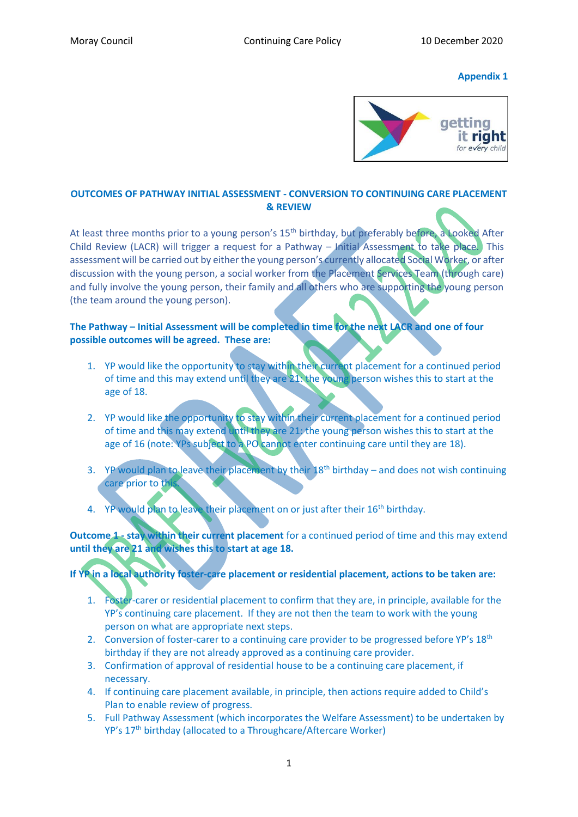#### **Appendix 1**



# **OUTCOMES OF PATHWAY INITIAL ASSESSMENT - CONVERSION TO CONTINUING CARE PLACEMENT & REVIEW**

At least three months prior to a young person's 15<sup>th</sup> birthday, but preferably before, a Looked After Child Review (LACR) will trigger a request for a Pathway – Initial Assessment to take place. This assessment will be carried out by either the young person's currently allocated Social Worker, or after discussion with the young person, a social worker from the Placement Services Team (through care) and fully involve the young person, their family and all others who are supporting the young person (the team around the young person).

## **The Pathway – Initial Assessment will be completed in time for the next LACR and one of four possible outcomes will be agreed. These are:**

- 1. YP would like the opportunity to stay within their current placement for a continued period of time and this may extend until they are 21: the young person wishes this to start at the age of 18.
- 2. YP would like the opportunity to stay within their current placement for a continued period of time and this may extend until they are 21: the young person wishes this to start at the age of 16 (note: YPs subject to a PO cannot enter continuing care until they are 18).
- 3. YP would plan to leave their placement by their  $18<sup>th</sup>$  birthday and does not wish continuing care prior to this.
- 4. YP would plan to leave their placement on or just after their 16<sup>th</sup> birthday.

**Outcome 1 - stay within their current placement** for a continued period of time and this may extend **until they are 21 and wishes this to start at age 18.** 

# **If YP in a local authority foster-care placement or residential placement, actions to be taken are:**

- 1. Foster-carer or residential placement to confirm that they are, in principle, available for the YP's continuing care placement. If they are not then the team to work with the young person on what are appropriate next steps.
- 2. Conversion of foster-carer to a continuing care provider to be progressed before YP's 18<sup>th</sup> birthday if they are not already approved as a continuing care provider.
- 3. Confirmation of approval of residential house to be a continuing care placement, if necessary.
- 4. If continuing care placement available, in principle, then actions require added to Child's Plan to enable review of progress.
- 5. Full Pathway Assessment (which incorporates the Welfare Assessment) to be undertaken by YP's 17<sup>th</sup> birthday (allocated to a Throughcare/Aftercare Worker)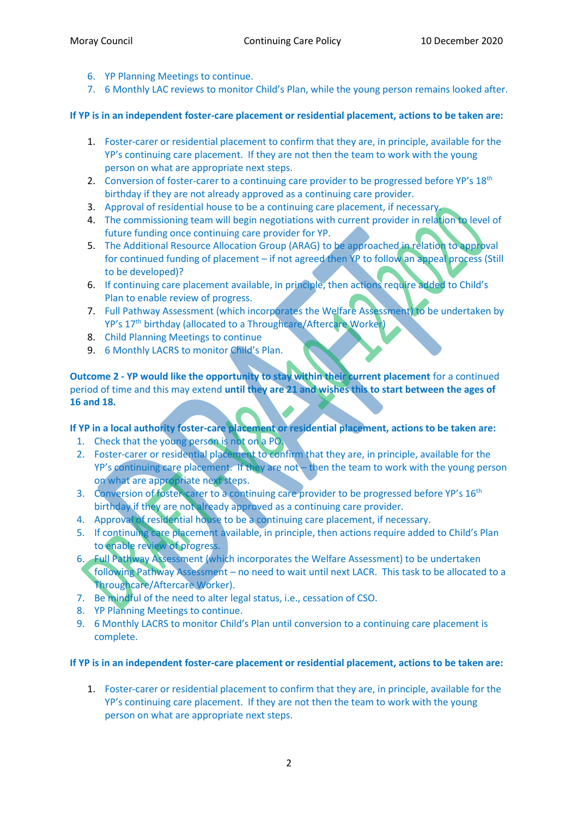- 6. YP Planning Meetings to continue.
- 7. 6 Monthly LAC reviews to monitor Child's Plan, while the young person remains looked after.

### **If YP is in an independent foster-care placement or residential placement, actions to be taken are:**

- 1. Foster-carer or residential placement to confirm that they are, in principle, available for the YP's continuing care placement. If they are not then the team to work with the young person on what are appropriate next steps.
- 2. Conversion of foster-carer to a continuing care provider to be progressed before YP's 18<sup>th</sup> birthday if they are not already approved as a continuing care provider.
- 3. Approval of residential house to be a continuing care placement, if necessary.
- 4. The commissioning team will begin negotiations with current provider in relation to level of future funding once continuing care provider for YP.
- 5. The Additional Resource Allocation Group (ARAG) to be approached in relation to approval for continued funding of placement – if not agreed then YP to follow an appeal process (Still to be developed)?
- 6. If continuing care placement available, in principle, then actions require added to Child's Plan to enable review of progress.
- 7. Full Pathway Assessment (which incorporates the Welfare Assessment) to be undertaken by YP's 17<sup>th</sup> birthday (allocated to a Throughcare/Aftercare Worker)
- 8. Child Planning Meetings to continue
- 9. 6 Monthly LACRS to monitor Child's Plan.

**Outcome 2 - YP would like the opportunity to stay within their current placement** for a continued period of time and this may extend **until they are 21 and wishes this to start between the ages of 16 and 18.** 

**If YP in a local authority foster-care placement or residential placement, actions to be taken are:** 

- 1. Check that the young person is not on a PO.
- 2. Foster-carer or residential placement to confirm that they are, in principle, available for the YP's continuing care placement. If they are not – then the team to work with the young person on what are appropriate next steps.
- 3. Conversion of foster-carer to a continuing care provider to be progressed before YP's 16<sup>th</sup> birthday if they are not already approved as a continuing care provider.
- 4. Approval of residential house to be a continuing care placement, if necessary.
- 5. If continuing care placement available, in principle, then actions require added to Child's Plan to enable review of progress.
- 6. Full Pathway Assessment (which incorporates the Welfare Assessment) to be undertaken following Pathway Assessment – no need to wait until next LACR. This task to be allocated to a Throughcare/Aftercare Worker).
- 7. Be mindful of the need to alter legal status, i.e., cessation of CSO.
- 8. YP Planning Meetings to continue.
- 9. 6 Monthly LACRS to monitor Child's Plan until conversion to a continuing care placement is complete.

#### **If YP is in an independent foster-care placement or residential placement, actions to be taken are:**

1. Foster-carer or residential placement to confirm that they are, in principle, available for the YP's continuing care placement. If they are not then the team to work with the young person on what are appropriate next steps.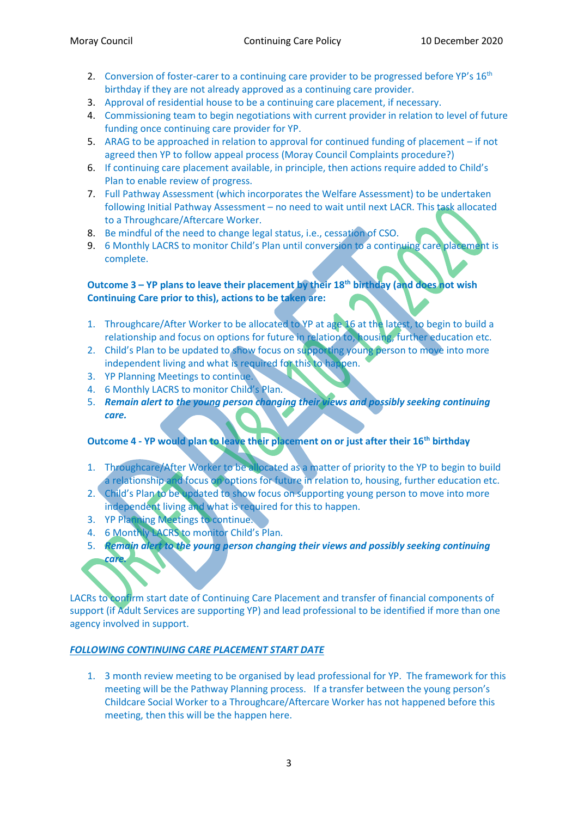- 2. Conversion of foster-carer to a continuing care provider to be progressed before YP's 16<sup>th</sup> birthday if they are not already approved as a continuing care provider.
- 3. Approval of residential house to be a continuing care placement, if necessary.
- 4. Commissioning team to begin negotiations with current provider in relation to level of future funding once continuing care provider for YP.
- 5. ARAG to be approached in relation to approval for continued funding of placement if not agreed then YP to follow appeal process (Moray Council Complaints procedure?)
- 6. If continuing care placement available, in principle, then actions require added to Child's Plan to enable review of progress.
- 7. Full Pathway Assessment (which incorporates the Welfare Assessment) to be undertaken following Initial Pathway Assessment – no need to wait until next LACR. This task allocated to a Throughcare/Aftercare Worker.
- 8. Be mindful of the need to change legal status, i.e., cessation of CSO.
- 9. 6 Monthly LACRS to monitor Child's Plan until conversion to a continuing care placement is complete.

# **Outcome 3 – YP plans to leave their placement by their 18th birthday (and does not wish Continuing Care prior to this), actions to be taken are:**

- 1. Throughcare/After Worker to be allocated to YP at age 16 at the latest, to begin to build a relationship and focus on options for future in relation to, housing, further education etc.
- 2. Child's Plan to be updated to show focus on supporting young person to move into more independent living and what is required for this to happen.
- 3. YP Planning Meetings to continue.
- 4. 6 Monthly LACRS to monitor Child's Plan.
- 5. *Remain alert to the young person changing their views and possibly seeking continuing care.*

# **Outcome 4 - YP would plan to leave their placement on or just after their 16th birthday**

- 1. Throughcare/After Worker to be allocated as a matter of priority to the YP to begin to build a relationship and focus on options for future in relation to, housing, further education etc.
- 2. Child's Plan to be updated to show focus on supporting young person to move into more independent living and what is required for this to happen.
- 3. YP Planning Meetings to continue.
- 4. 6 Monthly LACRS to monitor Child's Plan.
- 5. *Remain alert to the young person changing their views and possibly seeking continuing care.*

LACRs to confirm start date of Continuing Care Placement and transfer of financial components of support (if Adult Services are supporting YP) and lead professional to be identified if more than one agency involved in support.

#### *FOLLOWING CONTINUING CARE PLACEMENT START DATE*

1. 3 month review meeting to be organised by lead professional for YP. The framework for this meeting will be the Pathway Planning process. If a transfer between the young person's Childcare Social Worker to a Throughcare/Aftercare Worker has not happened before this meeting, then this will be the happen here.